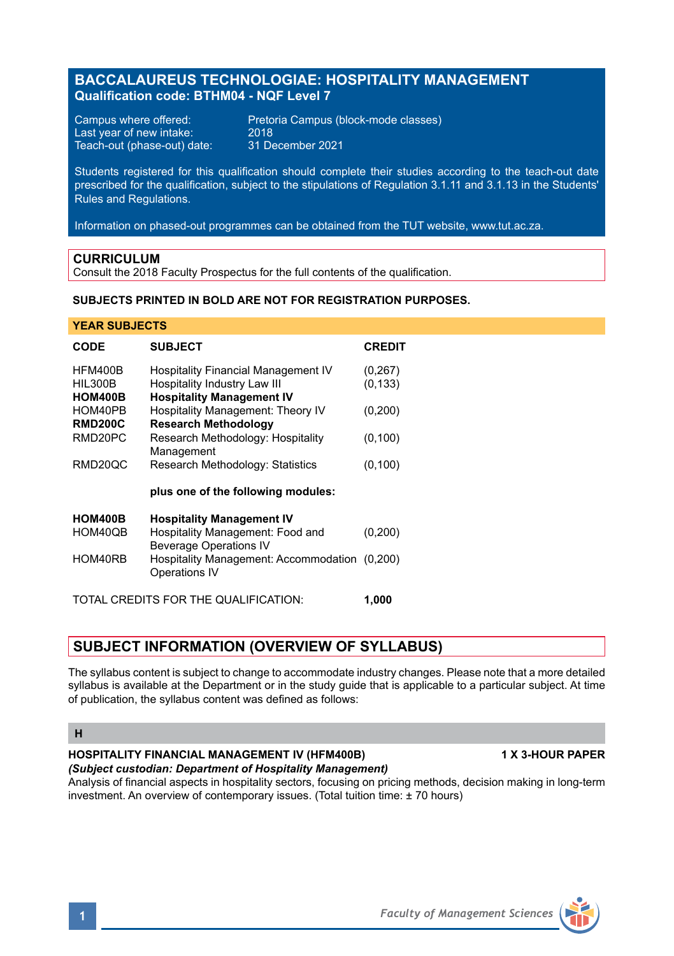# **BACCALAUREUS TECHNOLOGIAE: HOSPITALITY MANAGEMENT Qualification code: BTHM04 - NQF Level 7**

Last year of new intake: 2018<br>Teach-out (phase-out) date: 31 December 2021 Teach-out (phase-out) date:

Campus where offered:<br>
Last vear of new intake: 2018

Students registered for this qualification should complete their studies according to the teach-out date prescribed for the qualification, subject to the stipulations of Regulation 3.1.11 and 3.1.13 in the Students' Rules and Regulations.

Information on phased-out programmes can be obtained from the TUT website, www.tut.ac.za.

# **CURRICULUM**

Consult the 2018 Faculty Prospectus for the full contents of the qualification.

# **SUBJECTS PRINTED IN BOLD ARE NOT FOR REGISTRATION PURPOSES.**

# **YEAR SUBJECTS**

| <b>CODE</b>                          | <b>SUBJECT</b>                                                    | <b>CREDIT</b> |
|--------------------------------------|-------------------------------------------------------------------|---------------|
| <b>HFM400B</b>                       | <b>Hospitality Financial Management IV</b>                        | (0, 267)      |
| <b>HIL300B</b>                       | Hospitality Industry Law III                                      | (0, 133)      |
| <b>HOM400B</b>                       | <b>Hospitality Management IV</b>                                  |               |
| HOM40PB                              | Hospitality Management: Theory IV                                 | (0, 200)      |
| <b>RMD200C</b>                       | <b>Research Methodology</b>                                       |               |
| RMD20PC                              | Research Methodology: Hospitality                                 | (0, 100)      |
|                                      | Management                                                        |               |
| RMD20QC                              | Research Methodology: Statistics                                  | (0, 100)      |
|                                      | plus one of the following modules:                                |               |
| <b>HOM400B</b>                       | <b>Hospitality Management IV</b>                                  |               |
| HOM40QB                              | Hospitality Management: Food and<br><b>Beverage Operations IV</b> | (0, 200)      |
| HOM40RB                              | Hospitality Management: Accommodation (0,200)                     |               |
|                                      | <b>Operations IV</b>                                              |               |
| TOTAL CREDITS FOR THE QUALIFICATION: |                                                                   |               |

# **SUBJECT INFORMATION (OVERVIEW OF SYLLABUS)**

The syllabus content is subject to change to accommodate industry changes. Please note that a more detailed syllabus is available at the Department or in the study guide that is applicable to a particular subject. At time of publication, the syllabus content was defined as follows:

### **H**

## **HOSPITALITY FINANCIAL MANAGEMENT IV (HFM400B) 1 X 3-HOUR PAPER** *(Subject custodian: Department of Hospitality Management)*

Analysis of financial aspects in hospitality sectors, focusing on pricing methods, decision making in long-term investment. An overview of contemporary issues. (Total tuition time: ± 70 hours)